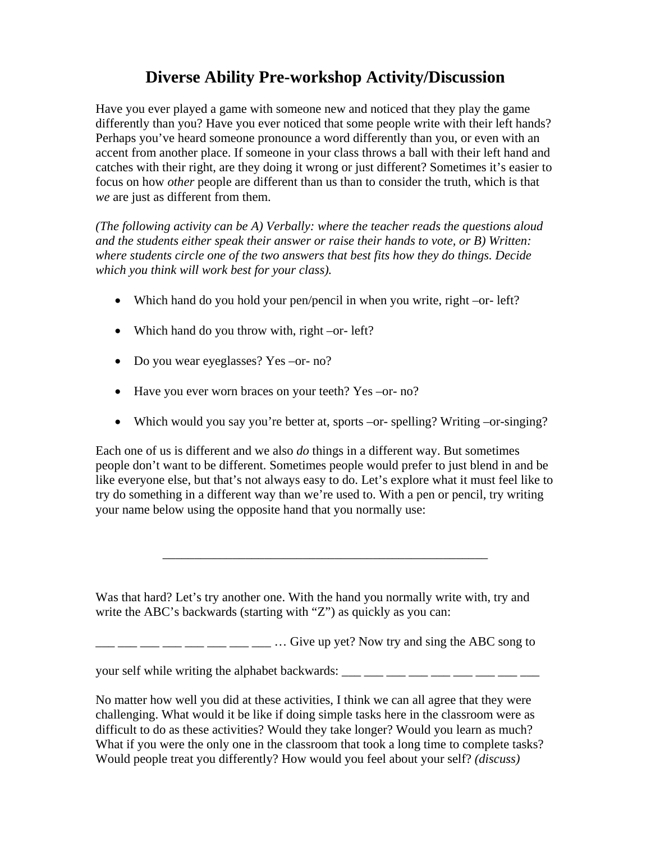## **Diverse Ability Pre-workshop Activity/Discussion**

Have you ever played a game with someone new and noticed that they play the game differently than you? Have you ever noticed that some people write with their left hands? Perhaps you've heard someone pronounce a word differently than you, or even with an accent from another place. If someone in your class throws a ball with their left hand and catches with their right, are they doing it wrong or just different? Sometimes it's easier to focus on how *other* people are different than us than to consider the truth, which is that *we* are just as different from them.

*(The following activity can be A) Verbally: where the teacher reads the questions aloud and the students either speak their answer or raise their hands to vote, or B) Written: where students circle one of the two answers that best fits how they do things. Decide which you think will work best for your class).* 

- Which hand do you hold your pen/pencil in when you write, right –or- left?
- Which hand do you throw with, right –or- left?
- Do you wear eyeglasses? Yes –or- no?
- Have you ever worn braces on your teeth? Yes –or- no?
- Which would you say you're better at, sports –or- spelling? Writing –or-singing?

Each one of us is different and we also *do* things in a different way. But sometimes people don't want to be different. Sometimes people would prefer to just blend in and be like everyone else, but that's not always easy to do. Let's explore what it must feel like to try do something in a different way than we're used to. With a pen or pencil, try writing your name below using the opposite hand that you normally use:

\_\_\_\_\_\_\_\_\_\_\_\_\_\_\_\_\_\_\_\_\_\_\_\_\_\_\_\_\_\_\_\_\_\_\_\_\_\_\_\_\_\_\_\_\_\_\_\_\_\_\_

Was that hard? Let's try another one. With the hand you normally write with, try and write the ABC's backwards (starting with "Z") as quickly as you can:

 $\frac{1}{2}$   $\frac{1}{2}$   $\frac{1}{2}$   $\frac{1}{2}$   $\frac{1}{2}$   $\frac{1}{2}$   $\frac{1}{2}$   $\frac{1}{2}$   $\frac{1}{2}$   $\frac{1}{2}$   $\frac{1}{2}$   $\frac{1}{2}$   $\frac{1}{2}$   $\frac{1}{2}$   $\frac{1}{2}$   $\frac{1}{2}$   $\frac{1}{2}$   $\frac{1}{2}$   $\frac{1}{2}$   $\frac{1}{2}$   $\frac{1}{2}$   $\frac{1}{2}$ 

your self while writing the alphabet backwards:  $\frac{1}{\frac{1}{1-\frac{1}{1-\frac{1}{1-\frac{1}{1-\frac{1}{1-\frac{1}{1-\frac{1}{1-\frac{1}{1-\frac{1}{1-\frac{1}{1-\frac{1}{1-\frac{1}{1-\frac{1}{1-\frac{1}{1-\frac{1}{1-\frac{1}{1-\frac{1}{1-\frac{1}{1-\frac{1}{1-\frac{1}{1-\frac{1}{1-\frac{1}{1-\frac{1}{1-\frac{1}{1-\frac{1}{1-\frac{1}{1-\frac{1}{1-\frac{1}{$ 

No matter how well you did at these activities, I think we can all agree that they were challenging. What would it be like if doing simple tasks here in the classroom were as difficult to do as these activities? Would they take longer? Would you learn as much? What if you were the only one in the classroom that took a long time to complete tasks? Would people treat you differently? How would you feel about your self? *(discuss)*